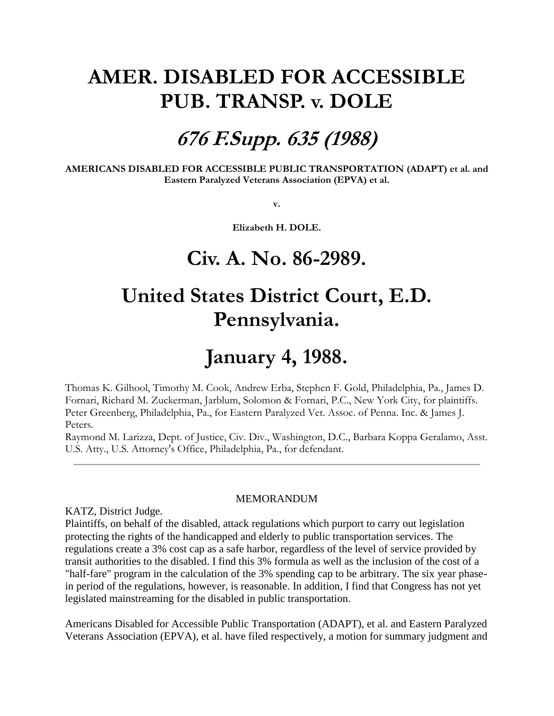# **AMER. DISABLED FOR ACCESSIBLE PUB. TRANSP. v. DOLE**

### **676 F.Supp. 635 (1988)**

**AMERICANS DISABLED FOR ACCESSIBLE PUBLIC TRANSPORTATION (ADAPT) et al. and Eastern Paralyzed Veterans Association (EPVA) et al.**

**v.**

**Elizabeth H. DOLE.** 

### **Civ. A. No. 86-2989.**

# **United States District Court, E.D. Pennsylvania.**

# **January 4, 1988.**

Thomas K. Gilhool, Timothy M. Cook, Andrew Erba, Stephen F. Gold, Philadelphia, Pa., James D. Fornari, Richard M. Zuckerman, Jarblum, Solomon & Fornari, P.C., New York City, for plaintiffs. Peter Greenberg, Philadelphia, Pa., for Eastern Paralyzed Vet. Assoc. of Penna. Inc. & James J. Peters.

Raymond M. Larizza, Dept. of Justice, Civ. Div., Washington, D.C., Barbara Koppa Geralamo, Asst. U.S. Atty., U.S. Attorney's Office, Philadelphia, Pa., for defendant.

#### **MEMORANDUM**

KATZ, District Judge.

Plaintiffs, on behalf of the disabled, attack regulations which purport to carry out legislation protecting the rights of the handicapped and elderly to public transportation services. The regulations create a 3% cost cap as a safe harbor, regardless of the level of service provided by transit authorities to the disabled. I find this 3% formula as well as the inclusion of the cost of a "half-fare" program in the calculation of the 3% spending cap to be arbitrary. The six year phasein period of the regulations, however, is reasonable. In addition, I find that Congress has not yet legislated mainstreaming for the disabled in public transportation.

Americans Disabled for Accessible Public Transportation (ADAPT), et al. and Eastern Paralyzed Veterans Association (EPVA), et al. have filed respectively, a motion for summary judgment and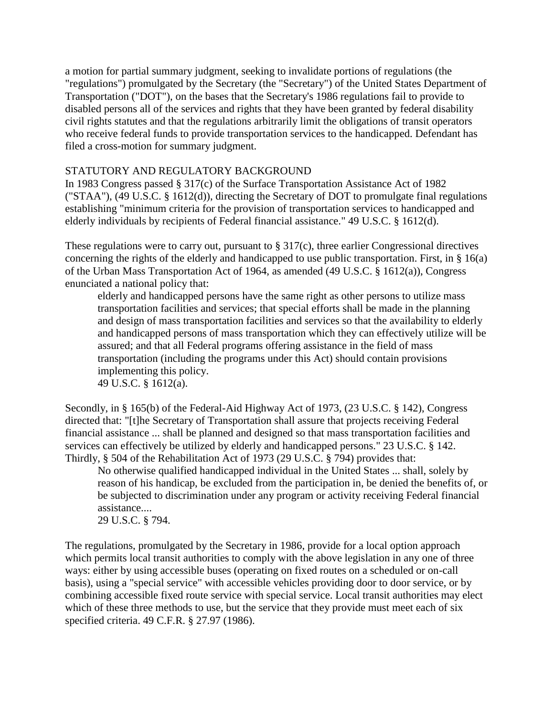a motion for partial summary judgment, seeking to invalidate portions of regulations (the "regulations") promulgated by the Secretary (the "Secretary") of the United States Department of Transportation ("DOT"), on the bases that the Secretary's 1986 regulations fail to provide to disabled persons all of the services and rights that they have been granted by federal disability civil rights statutes and that the regulations arbitrarily limit the obligations of transit operators who receive federal funds to provide transportation services to the handicapped. Defendant has filed a cross-motion for summary judgment.

#### STATUTORY AND REGULATORY BACKGROUND

In 1983 Congress passed § 317(c) of the Surface Transportation Assistance Act of 1982 ("STAA"), (49 U.S.C. § 1612(d)), directing the Secretary of DOT to promulgate final regulations establishing "minimum criteria for the provision of transportation services to handicapped and elderly individuals by recipients of Federal financial assistance." 49 U.S.C. § 1612(d).

These regulations were to carry out, pursuant to § 317(c), three earlier Congressional directives concerning the rights of the elderly and handicapped to use public transportation. First, in § 16(a) of the Urban Mass Transportation Act of 1964, as amended (49 U.S.C. § 1612(a)), Congress enunciated a national policy that:

elderly and handicapped persons have the same right as other persons to utilize mass transportation facilities and services; that special efforts shall be made in the planning and design of mass transportation facilities and services so that the availability to elderly and handicapped persons of mass transportation which they can effectively utilize will be assured; and that all Federal programs offering assistance in the field of mass transportation (including the programs under this Act) should contain provisions implementing this policy.

49 U.S.C. § 1612(a).

Secondly, in § 165(b) of the Federal-Aid Highway Act of 1973, (23 U.S.C. § 142), Congress directed that: "[t]he Secretary of Transportation shall assure that projects receiving Federal financial assistance ... shall be planned and designed so that mass transportation facilities and services can effectively be utilized by elderly and handicapped persons." 23 U.S.C. § 142. Thirdly, § 504 of the Rehabilitation Act of 1973 (29 U.S.C. § 794) provides that:

No otherwise qualified handicapped individual in the United States ... shall, solely by reason of his handicap, be excluded from the participation in, be denied the benefits of, or be subjected to discrimination under any program or activity receiving Federal financial assistance....

29 U.S.C. § 794.

The regulations, promulgated by the Secretary in 1986, provide for a local option approach which permits local transit authorities to comply with the above legislation in any one of three ways: either by using accessible buses (operating on fixed routes on a scheduled or on-call basis), using a "special service" with accessible vehicles providing door to door service, or by combining accessible fixed route service with special service. Local transit authorities may elect which of these three methods to use, but the service that they provide must meet each of six specified criteria. 49 C.F.R. § 27.97 (1986).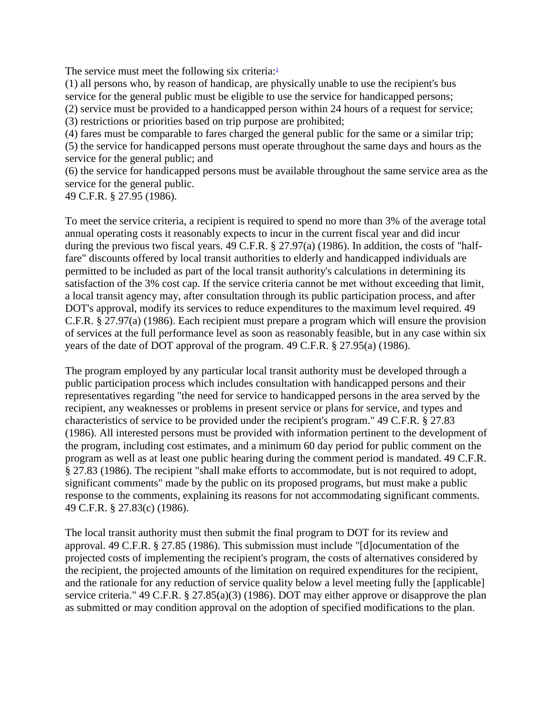The service must meet the following six criteria[:](http://www.leagle.com/xmlResult.aspx?xmldoc=19881311676FSupp635_11178.xml&docbase=CSLWAR2-1986-2006#FN_1) $\frac{1}{2}$ 

(1) all persons who, by reason of handicap, are physically unable to use the recipient's bus service for the general public must be eligible to use the service for handicapped persons;

(2) service must be provided to a handicapped person within 24 hours of a request for service;

(3) restrictions or priorities based on trip purpose are prohibited;

(4) fares must be comparable to fares charged the general public for the same or a similar trip;

(5) the service for handicapped persons must operate throughout the same days and hours as the service for the general public; and

(6) the service for handicapped persons must be available throughout the same service area as the service for the general public.

49 C.F.R. § 27.95 (1986).

To meet the service criteria, a recipient is required to spend no more than 3% of the average total annual operating costs it reasonably expects to incur in the current fiscal year and did incur during the previous two fiscal years. 49 C.F.R. § 27.97(a) (1986). In addition, the costs of "halffare" discounts offered by local transit authorities to elderly and handicapped individuals are permitted to be included as part of the local transit authority's calculations in determining its satisfaction of the 3% cost cap. If the service criteria cannot be met without exceeding that limit, a local transit agency may, after consultation through its public participation process, and after DOT's approval, modify its services to reduce expenditures to the maximum level required. 49 C.F.R. § 27.97(a) (1986). Each recipient must prepare a program which will ensure the provision of services at the full performance level as soon as reasonably feasible, but in any case within six years of the date of DOT approval of the program. 49 C.F.R. § 27.95(a) (1986).

The program employed by any particular local transit authority must be developed through a public participation process which includes consultation with handicapped persons and their representatives regarding "the need for service to handicapped persons in the area served by the recipient, any weaknesses or problems in present service or plans for service, and types and characteristics of service to be provided under the recipient's program." 49 C.F.R. § 27.83 (1986). All interested persons must be provided with information pertinent to the development of the program, including cost estimates, and a minimum 60 day period for public comment on the program as well as at least one public hearing during the comment period is mandated. 49 C.F.R. § 27.83 (1986). The recipient "shall make efforts to accommodate, but is not required to adopt, significant comments" made by the public on its proposed programs, but must make a public response to the comments, explaining its reasons for not accommodating significant comments. 49 C.F.R. § 27.83(c) (1986).

The local transit authority must then submit the final program to DOT for its review and approval. 49 C.F.R. § 27.85 (1986). This submission must include "[d]ocumentation of the projected costs of implementing the recipient's program, the costs of alternatives considered by the recipient, the projected amounts of the limitation on required expenditures for the recipient, and the rationale for any reduction of service quality below a level meeting fully the [applicable] service criteria." 49 C.F.R. § 27.85(a)(3) (1986). DOT may either approve or disapprove the plan as submitted or may condition approval on the adoption of specified modifications to the plan.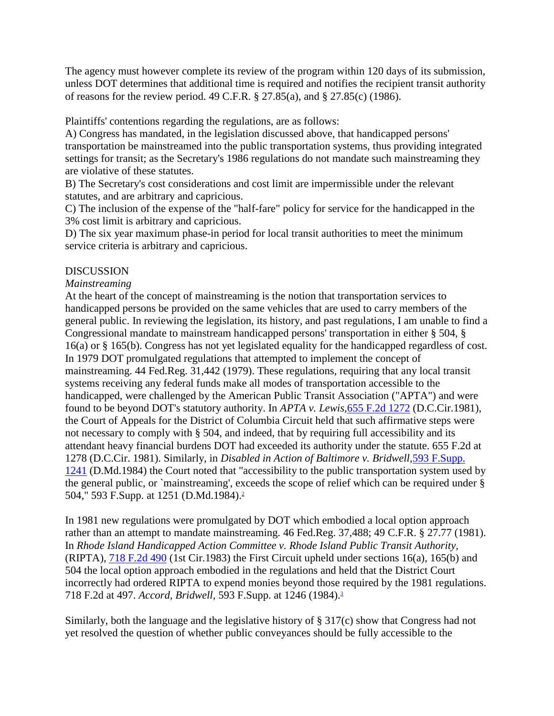The agency must however complete its review of the program within 120 days of its submission, unless DOT determines that additional time is required and notifies the recipient transit authority of reasons for the review period. 49 C.F.R. § 27.85(a), and § 27.85(c) (1986).

Plaintiffs' contentions regarding the regulations, are as follows:

A) Congress has mandated, in the legislation discussed above, that handicapped persons' transportation be mainstreamed into the public transportation systems, thus providing integrated settings for transit; as the Secretary's 1986 regulations do not mandate such mainstreaming they are violative of these statutes.

B) The Secretary's cost considerations and cost limit are impermissible under the relevant statutes, and are arbitrary and capricious.

C) The inclusion of the expense of the "half-fare" policy for service for the handicapped in the 3% cost limit is arbitrary and capricious.

D) The six year maximum phase-in period for local transit authorities to meet the minimum service criteria is arbitrary and capricious.

### DISCUSSION

#### *Mainstreaming*

At the heart of the concept of mainstreaming is the notion that transportation services to handicapped persons be provided on the same vehicles that are used to carry members of the general public. In reviewing the legislation, its history, and past regulations, I am unable to find a Congressional mandate to mainstream handicapped persons' transportation in either § 504, § 16(a) or § 165(b). Congress has not yet legislated equality for the handicapped regardless of cost. In 1979 DOT promulgated regulations that attempted to implement the concept of mainstreaming. 44 Fed.Reg. 31,442 (1979). These regulations, requiring that any local transit systems receiving any federal funds make all modes of transportation accessible to the handicapped, were challenged by the American Public Transit Association ("APTA") and were found to be beyond DOT's statutory authority. In *APTA v. Lewis,*[655 F.2d 1272](http://www.leagle.com/xmlcontentlinks.aspx?gfile=655%20F.2d%201272) (D.C.Cir.1981), the Court of Appeals for the District of Columbia Circuit held that such affirmative steps were not necessary to comply with § 504, and indeed, that by requiring full accessibility and its attendant heavy financial burdens DOT had exceeded its authority under the statute. 655 F.2d at 1278 (D.C.Cir. 1981). Similarly, in *Disabled in Action of Baltimore v. Bridwell,*[593 F.Supp.](http://www.leagle.com/xmlcontentlinks.aspx?gfile=593%20F.Supp.%201241)  [1241](http://www.leagle.com/xmlcontentlinks.aspx?gfile=593%20F.Supp.%201241) (D.Md.1984) the Court noted that "accessibility to the public transportation system used by the general public, or `mainstreaming', exceeds the scope of relief which can be required under § 504," 593 F.Supp. at 1251 (D.Md.1984)[.](http://www.leagle.com/xmlResult.aspx?xmldoc=19881311676FSupp635_11178.xml&docbase=CSLWAR2-1986-2006#FN_2)<sup>2</sup>

In 1981 new regulations were promulgated by DOT which embodied a local option approach rather than an attempt to mandate mainstreaming. 46 Fed.Reg. 37,488; 49 C.F.R. § 27.77 (1981). In *Rhode Island Handicapped Action Committee v. Rhode Island Public Transit Authority,* (RIPTA), [718 F.2d 490](http://www.leagle.com/xmlcontentlinks.aspx?gfile=718%20F.2d%20490) (1st Cir.1983) the First Circuit upheld under sections 16(a), 165(b) and 504 the local option approach embodied in the regulations and held that the District Court incorrectly had ordered RIPTA to expend monies beyond those required by the 1981 regulations. 718 F.2d at 497. *Accord, Bridwell,* 593 F.Supp. at 1246 (1984)[.](http://www.leagle.com/xmlResult.aspx?xmldoc=19881311676FSupp635_11178.xml&docbase=CSLWAR2-1986-2006#FN_3)<sup>3</sup>

Similarly, both the language and the legislative history of § 317(c) show that Congress had not yet resolved the question of whether public conveyances should be fully accessible to the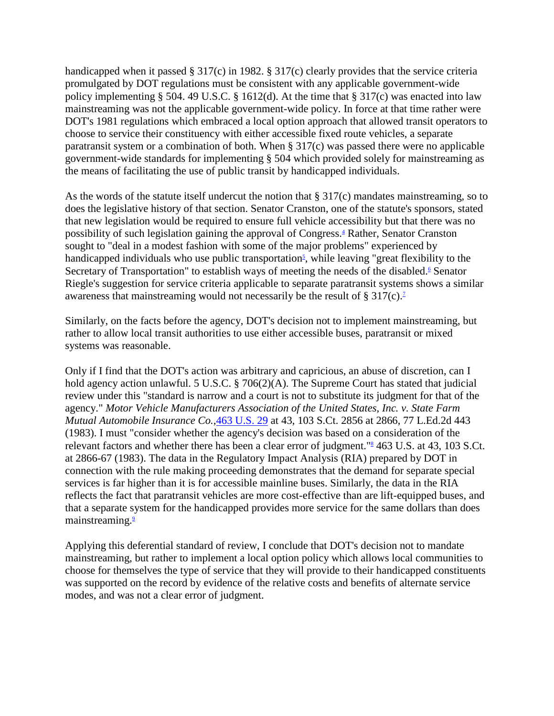handicapped when it passed § 317(c) in 1982. § 317(c) clearly provides that the service criteria promulgated by DOT regulations must be consistent with any applicable government-wide policy implementing § 504. 49 U.S.C. § 1612(d). At the time that § 317(c) was enacted into law mainstreaming was not the applicable government-wide policy. In force at that time rather were DOT's 1981 regulations which embraced a local option approach that allowed transit operators to choose to service their constituency with either accessible fixed route vehicles, a separate paratransit system or a combination of both. When § 317(c) was passed there were no applicable government-wide standards for implementing § 504 which provided solely for mainstreaming as the means of facilitating the use of public transit by handicapped individuals.

As the words of the statute itself undercut the notion that § 317(c) mandates mainstreaming, so to does the legislative history of that section. Senator Cranston, one of the statute's sponsors, stated that new legislation would be required to ensure full vehicle accessibility but that there was no possibility of such legislation gaining the approval of Congress[.](http://www.leagle.com/xmlResult.aspx?xmldoc=19881311676FSupp635_11178.xml&docbase=CSLWAR2-1986-2006#FN_4)<sup>4</sup> Rather, Senator Cranston sought to "deal in a modest fashion with some of the major problems" experienced by handicapped individuals who use public transportation<sup>5</sup>[,](http://www.leagle.com/xmlResult.aspx?xmldoc=19881311676FSupp635_11178.xml&docbase=CSLWAR2-1986-2006#FN_5) while leaving "great flexibility to the Secretary of Transportation" to establish ways of meeting the needs of the disabled[.](http://www.leagle.com/xmlResult.aspx?xmldoc=19881311676FSupp635_11178.xml&docbase=CSLWAR2-1986-2006#FN_6)<sup> $6$ </sup> Senator Riegle's suggestion for service criteria applicable to separate paratransit systems shows a similar awareness that mainstreaming would not necessarily be the result of  $\S 317(c)$ [.](http://www.leagle.com/xmlResult.aspx?xmldoc=19881311676FSupp635_11178.xml&docbase=CSLWAR2-1986-2006#FN_7)<sup>7</sup>

Similarly, on the facts before the agency, DOT's decision not to implement mainstreaming, but rather to allow local transit authorities to use either accessible buses, paratransit or mixed systems was reasonable.

Only if I find that the DOT's action was arbitrary and capricious, an abuse of discretion, can I hold agency action unlawful. 5 U.S.C. § 706(2)(A). The Supreme Court has stated that judicial review under this "standard is narrow and a court is not to substitute its judgment for that of the agency." *Motor Vehicle Manufacturers Association of the United States, Inc. v. State Farm Mutual Automobile Insurance Co.,*[463 U.S. 29](http://www.leagle.com/xmlcontentlinks.aspx?gfile=463%20U.S.%2029) at 43, 103 S.Ct. 2856 at 2866, 77 L.Ed.2d 443 (1983). I must "consider whether the agency's decision was based on a consideration of the relevant factors and whether there has been a clear error of judgment.["](http://www.leagle.com/xmlResult.aspx?xmldoc=19881311676FSupp635_11178.xml&docbase=CSLWAR2-1986-2006#FN_8)<sup>8</sup> 463 U.S. at 43, 103 S.Ct. at 2866-67 (1983). The data in the Regulatory Impact Analysis (RIA) prepared by DOT in connection with the rule making proceeding demonstrates that the demand for separate special services is far higher than it is for accessible mainline buses. Similarly, the data in the RIA reflects the fact that paratransit vehicles are more cost-effective than are lift-equipped buses, and that a separate system for the handicapped provides more service for the same dollars than does mainstreaming[.](http://www.leagle.com/xmlResult.aspx?xmldoc=19881311676FSupp635_11178.xml&docbase=CSLWAR2-1986-2006#FN_9)<sup>9</sup>

Applying this deferential standard of review, I conclude that DOT's decision not to mandate mainstreaming, but rather to implement a local option policy which allows local communities to choose for themselves the type of service that they will provide to their handicapped constituents was supported on the record by evidence of the relative costs and benefits of alternate service modes, and was not a clear error of judgment.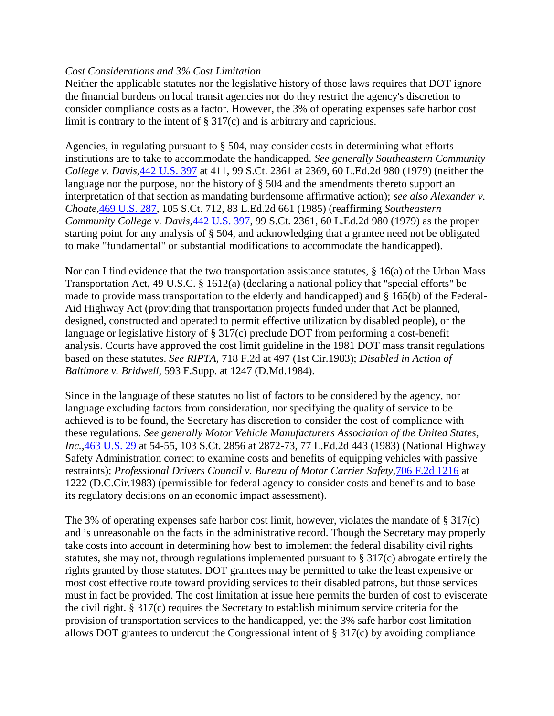#### *Cost Considerations and 3% Cost Limitation*

Neither the applicable statutes nor the legislative history of those laws requires that DOT ignore the financial burdens on local transit agencies nor do they restrict the agency's discretion to consider compliance costs as a factor. However, the 3% of operating expenses safe harbor cost limit is contrary to the intent of § 317(c) and is arbitrary and capricious.

Agencies, in regulating pursuant to § 504, may consider costs in determining what efforts institutions are to take to accommodate the handicapped. *See generally Southeastern Community College v. Davis,*[442 U.S. 397](http://www.leagle.com/xmlcontentlinks.aspx?gfile=442%20U.S.%20397) at 411, 99 S.Ct. 2361 at 2369, 60 L.Ed.2d 980 (1979) (neither the language nor the purpose, nor the history of § 504 and the amendments thereto support an interpretation of that section as mandating burdensome affirmative action); *see also Alexander v. Choate,*[469 U.S. 287,](http://www.leagle.com/xmlcontentlinks.aspx?gfile=469%20U.S.%20287) 105 S.Ct. 712, 83 L.Ed.2d 661 (1985) (reaffirming *Southeastern Community College v. Davis,*[442 U.S. 397,](http://www.leagle.com/xmlcontentlinks.aspx?gfile=442%20U.S.%20397) 99 S.Ct. 2361, 60 L.Ed.2d 980 (1979) as the proper starting point for any analysis of § 504, and acknowledging that a grantee need not be obligated to make "fundamental" or substantial modifications to accommodate the handicapped).

Nor can I find evidence that the two transportation assistance statutes, § 16(a) of the Urban Mass Transportation Act, 49 U.S.C. § 1612(a) (declaring a national policy that "special efforts" be made to provide mass transportation to the elderly and handicapped) and § 165(b) of the Federal-Aid Highway Act (providing that transportation projects funded under that Act be planned, designed, constructed and operated to permit effective utilization by disabled people), or the language or legislative history of § 317(c) preclude DOT from performing a cost-benefit analysis. Courts have approved the cost limit guideline in the 1981 DOT mass transit regulations based on these statutes. *See RIPTA,* 718 F.2d at 497 (1st Cir.1983); *Disabled in Action of Baltimore v. Bridwell,* 593 F.Supp. at 1247 (D.Md.1984).

Since in the language of these statutes no list of factors to be considered by the agency, nor language excluding factors from consideration, nor specifying the quality of service to be achieved is to be found, the Secretary has discretion to consider the cost of compliance with these regulations. *See generally Motor Vehicle Manufacturers Association of the United States, Inc.,*[463 U.S. 29](http://www.leagle.com/xmlcontentlinks.aspx?gfile=463%20U.S.%2029) at 54-55, 103 S.Ct. 2856 at 2872-73, 77 L.Ed.2d 443 (1983) (National Highway Safety Administration correct to examine costs and benefits of equipping vehicles with passive restraints); *Professional Drivers Council v. Bureau of Motor Carrier Safety,*[706 F.2d 1216](http://www.leagle.com/xmlcontentlinks.aspx?gfile=706%20F.2d%201216) at 1222 (D.C.Cir.1983) (permissible for federal agency to consider costs and benefits and to base its regulatory decisions on an economic impact assessment).

The 3% of operating expenses safe harbor cost limit, however, violates the mandate of § 317(c) and is unreasonable on the facts in the administrative record. Though the Secretary may properly take costs into account in determining how best to implement the federal disability civil rights statutes, she may not, through regulations implemented pursuant to § 317(c) abrogate entirely the rights granted by those statutes. DOT grantees may be permitted to take the least expensive or most cost effective route toward providing services to their disabled patrons, but those services must in fact be provided. The cost limitation at issue here permits the burden of cost to eviscerate the civil right. § 317(c) requires the Secretary to establish minimum service criteria for the provision of transportation services to the handicapped, yet the 3% safe harbor cost limitation allows DOT grantees to undercut the Congressional intent of § 317(c) by avoiding compliance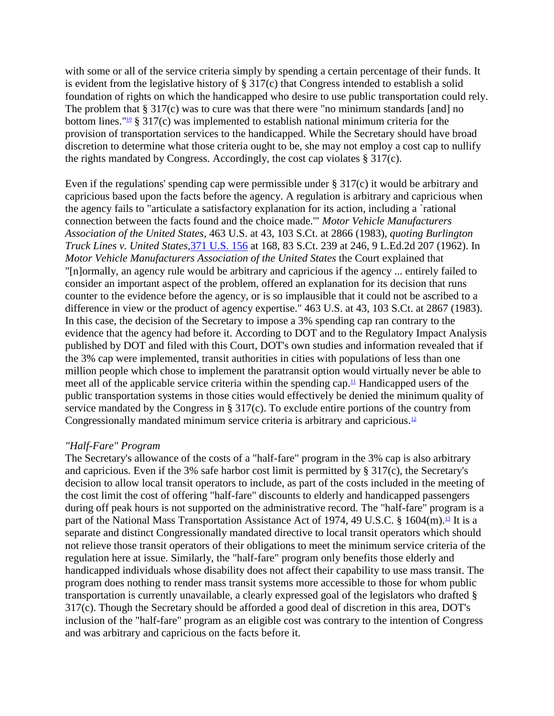with some or all of the service criteria simply by spending a certain percentage of their funds. It is evident from the legislative history of § 317(c) that Congress intended to establish a solid foundation of rights on which the handicapped who desire to use public transportation could rely. The problem that  $\S 317(c)$  was to cure was that there were "no minimum standards [and] no bottom lines."<sup>[10](http://www.leagle.com/xmlResult.aspx?xmldoc=19881311676FSupp635_11178.xml&docbase=CSLWAR2-1986-2006#FN_10)</sup> § 317(c) was implemented to establish national minimum criteria for the provision of transportation services to the handicapped. While the Secretary should have broad discretion to determine what those criteria ought to be, she may not employ a cost cap to nullify the rights mandated by Congress. Accordingly, the cost cap violates § 317(c).

Even if the regulations' spending cap were permissible under § 317(c) it would be arbitrary and capricious based upon the facts before the agency. A regulation is arbitrary and capricious when the agency fails to "articulate a satisfactory explanation for its action, including a `rational connection between the facts found and the choice made.'" *Motor Vehicle Manufacturers Association of the United States,* 463 U.S. at 43, 103 S.Ct. at 2866 (1983), *quoting Burlington Truck Lines v. United States,*[371 U.S. 156](http://www.leagle.com/xmlcontentlinks.aspx?gfile=371%20U.S.%20156) at 168, 83 S.Ct. 239 at 246, 9 L.Ed.2d 207 (1962). In *Motor Vehicle Manufacturers Association of the United States* the Court explained that "[n]ormally, an agency rule would be arbitrary and capricious if the agency ... entirely failed to consider an important aspect of the problem, offered an explanation for its decision that runs counter to the evidence before the agency, or is so implausible that it could not be ascribed to a difference in view or the product of agency expertise." 463 U.S. at 43, 103 S.Ct. at 2867 (1983). In this case, the decision of the Secretary to impose a 3% spending cap ran contrary to the evidence that the agency had before it. According to DOT and to the Regulatory Impact Analysis published by DOT and filed with this Court, DOT's own studies and information revealed that if the 3% cap were implemented, transit authorities in cities with populations of less than one million people which chose to implement the paratransit option would virtually never be able to meet all of the applicable service criteria within the spending cap.<sup>[11](http://www.leagle.com/xmlResult.aspx?xmldoc=19881311676FSupp635_11178.xml&docbase=CSLWAR2-1986-2006#FN_11)</sup> Handicapped users of the public transportation systems in those cities would effectively be denied the minimum quality of service mandated by the Congress in § 317(c). To exclude entire portions of the country from Congressionally mandated minimum service criteria is arbitrary and capricious.<sup>[12](http://www.leagle.com/xmlResult.aspx?xmldoc=19881311676FSupp635_11178.xml&docbase=CSLWAR2-1986-2006#FN_12)</sup>

#### *"Half-Fare" Program*

The Secretary's allowance of the costs of a "half-fare" program in the 3% cap is also arbitrary and capricious. Even if the 3% safe harbor cost limit is permitted by § 317(c), the Secretary's decision to allow local transit operators to include, as part of the costs included in the meeting of the cost limit the cost of offering "half-fare" discounts to elderly and handicapped passengers during off peak hours is not supported on the administrative record. The "half-fare" program is a part of the National Mass Transportation Assistance Act of 1974, 49 U.S.C. § 1604 $(m)$ .<sup>[13](http://www.leagle.com/xmlResult.aspx?xmldoc=19881311676FSupp635_11178.xml&docbase=CSLWAR2-1986-2006#FN_13)</sup> It is a separate and distinct Congressionally mandated directive to local transit operators which should not relieve those transit operators of their obligations to meet the minimum service criteria of the regulation here at issue. Similarly, the "half-fare" program only benefits those elderly and handicapped individuals whose disability does not affect their capability to use mass transit. The program does nothing to render mass transit systems more accessible to those for whom public transportation is currently unavailable, a clearly expressed goal of the legislators who drafted § 317(c). Though the Secretary should be afforded a good deal of discretion in this area, DOT's inclusion of the "half-fare" program as an eligible cost was contrary to the intention of Congress and was arbitrary and capricious on the facts before it.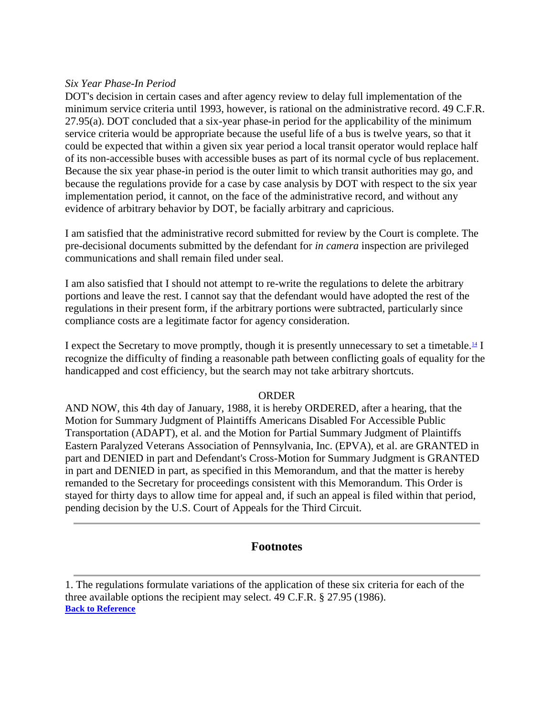#### *Six Year Phase-In Period*

DOT's decision in certain cases and after agency review to delay full implementation of the minimum service criteria until 1993, however, is rational on the administrative record. 49 C.F.R. 27.95(a). DOT concluded that a six-year phase-in period for the applicability of the minimum service criteria would be appropriate because the useful life of a bus is twelve years, so that it could be expected that within a given six year period a local transit operator would replace half of its non-accessible buses with accessible buses as part of its normal cycle of bus replacement. Because the six year phase-in period is the outer limit to which transit authorities may go, and because the regulations provide for a case by case analysis by DOT with respect to the six year implementation period, it cannot, on the face of the administrative record, and without any evidence of arbitrary behavior by DOT, be facially arbitrary and capricious.

I am satisfied that the administrative record submitted for review by the Court is complete. The pre-decisional documents submitted by the defendant for *in camera* inspection are privileged communications and shall remain filed under seal.

I am also satisfied that I should not attempt to re-write the regulations to delete the arbitrary portions and leave the rest. I cannot say that the defendant would have adopted the rest of the regulations in their present form, if the arbitrary portions were subtracted, particularly since compliance costs are a legitimate factor for agency consideration.

I expect the Secretary to move promptly, though it is presently unnecessary to set a timetable.<sup>[14](http://www.leagle.com/xmlResult.aspx?xmldoc=19881311676FSupp635_11178.xml&docbase=CSLWAR2-1986-2006#FN_14)</sup> I recognize the difficulty of finding a reasonable path between conflicting goals of equality for the handicapped and cost efficiency, but the search may not take arbitrary shortcuts.

#### ORDER

AND NOW, this 4th day of January, 1988, it is hereby ORDERED, after a hearing, that the Motion for Summary Judgment of Plaintiffs Americans Disabled For Accessible Public Transportation (ADAPT), et al. and the Motion for Partial Summary Judgment of Plaintiffs Eastern Paralyzed Veterans Association of Pennsylvania, Inc. (EPVA), et al. are GRANTED in part and DENIED in part and Defendant's Cross-Motion for Summary Judgment is GRANTED in part and DENIED in part, as specified in this Memorandum, and that the matter is hereby remanded to the Secretary for proceedings consistent with this Memorandum. This Order is stayed for thirty days to allow time for appeal and, if such an appeal is filed within that period, pending decision by the U.S. Court of Appeals for the Third Circuit.

### **Footnotes**

<sup>1.</sup> The regulations formulate variations of the application of these six criteria for each of the three available options the recipient may select. 49 C.F.R. § 27.95 (1986). **[Back to Reference](http://www.leagle.com/xmlResult.aspx?xmldoc=19881311676FSupp635_11178.xml&docbase=CSLWAR2-1986-2006#FR_1)**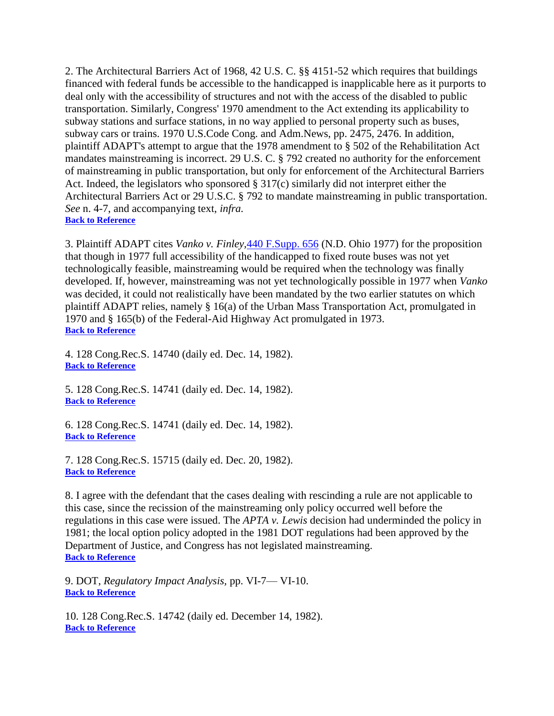2. The Architectural Barriers Act of 1968, 42 U.S. C. §§ 4151-52 which requires that buildings financed with federal funds be accessible to the handicapped is inapplicable here as it purports to deal only with the accessibility of structures and not with the access of the disabled to public transportation. Similarly, Congress' 1970 amendment to the Act extending its applicability to subway stations and surface stations, in no way applied to personal property such as buses, subway cars or trains. 1970 U.S.Code Cong. and Adm.News, pp. 2475, 2476. In addition, plaintiff ADAPT's attempt to argue that the 1978 amendment to § 502 of the Rehabilitation Act mandates mainstreaming is incorrect. 29 U.S. C. § 792 created no authority for the enforcement of mainstreaming in public transportation, but only for enforcement of the Architectural Barriers Act. Indeed, the legislators who sponsored § 317(c) similarly did not interpret either the Architectural Barriers Act or 29 U.S.C. § 792 to mandate mainstreaming in public transportation. *See* n. 4-7, and accompanying text, *infra.* **[Back to Reference](http://www.leagle.com/xmlResult.aspx?xmldoc=19881311676FSupp635_11178.xml&docbase=CSLWAR2-1986-2006#FR_2)**

3. Plaintiff ADAPT cites *Vanko v. Finley,*[440 F.Supp. 656](http://www.leagle.com/xmlcontentlinks.aspx?gfile=440%20F.Supp.%20656) (N.D. Ohio 1977) for the proposition that though in 1977 full accessibility of the handicapped to fixed route buses was not yet technologically feasible, mainstreaming would be required when the technology was finally developed. If, however, mainstreaming was not yet technologically possible in 1977 when *Vanko* was decided, it could not realistically have been mandated by the two earlier statutes on which plaintiff ADAPT relies, namely § 16(a) of the Urban Mass Transportation Act, promulgated in 1970 and § 165(b) of the Federal-Aid Highway Act promulgated in 1973. **[Back to Reference](http://www.leagle.com/xmlResult.aspx?xmldoc=19881311676FSupp635_11178.xml&docbase=CSLWAR2-1986-2006#FR_3)**

4. 128 Cong.Rec.S. 14740 (daily ed. Dec. 14, 1982). **[Back to Reference](http://www.leagle.com/xmlResult.aspx?xmldoc=19881311676FSupp635_11178.xml&docbase=CSLWAR2-1986-2006#FR_4)**

5. 128 Cong.Rec.S. 14741 (daily ed. Dec. 14, 1982). **[Back to Reference](http://www.leagle.com/xmlResult.aspx?xmldoc=19881311676FSupp635_11178.xml&docbase=CSLWAR2-1986-2006#FR_5)**

6. 128 Cong.Rec.S. 14741 (daily ed. Dec. 14, 1982). **[Back to Reference](http://www.leagle.com/xmlResult.aspx?xmldoc=19881311676FSupp635_11178.xml&docbase=CSLWAR2-1986-2006#FR_6)**

7. 128 Cong.Rec.S. 15715 (daily ed. Dec. 20, 1982). **[Back to Reference](http://www.leagle.com/xmlResult.aspx?xmldoc=19881311676FSupp635_11178.xml&docbase=CSLWAR2-1986-2006#FR_7)**

8. I agree with the defendant that the cases dealing with rescinding a rule are not applicable to this case, since the recission of the mainstreaming only policy occurred well before the regulations in this case were issued. The *APTA v. Lewis* decision had underminded the policy in 1981; the local option policy adopted in the 1981 DOT regulations had been approved by the Department of Justice, and Congress has not legislated mainstreaming. **[Back to Reference](http://www.leagle.com/xmlResult.aspx?xmldoc=19881311676FSupp635_11178.xml&docbase=CSLWAR2-1986-2006#FR_8)**

9. DOT, *Regulatory Impact Analysis,* pp. VI-7— VI-10. **[Back to Reference](http://www.leagle.com/xmlResult.aspx?xmldoc=19881311676FSupp635_11178.xml&docbase=CSLWAR2-1986-2006#FR_9)**

10. 128 Cong.Rec.S. 14742 (daily ed. December 14, 1982). **[Back to Reference](http://www.leagle.com/xmlResult.aspx?xmldoc=19881311676FSupp635_11178.xml&docbase=CSLWAR2-1986-2006#FR_10)**